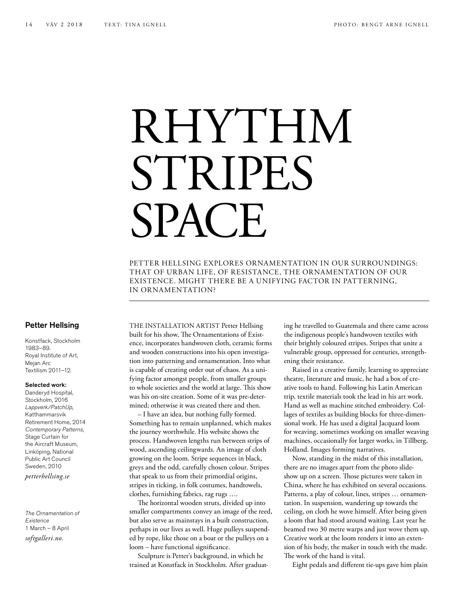## RHYTHM STRIPES **SPACE**

PETTER HELLSING EXPLORES ORNAMENTATION IN OUR SURROUNDINGS: THAT OF URBAN LIFE, OF RESISTANCE, THE ORNAMENTATION OF OUR EXISTENCE. MIGHT THERE BE A UNIFYING FACTOR IN PATTERNING, IN ORNAMENTATION?

## Petter Hellsing

Konstfack, Stockholm 1983–89. Royal Institute of Art, Mejan Arc Textilism 2011–12.

## Selected work:

Danderyd Hospital, Stockholm, 2016 *Lappverk/PatchUp,*  Katthammarsvik Retirement Home, 2014 *Contemporary Patterns,*  Stage Curtain for the Aircraft Museum, Linköping, National Public Art Council Sweden, 2010 *petterhellsing.se*

*The Ornamentation of Existence* 1 March – 8 April *softgalleri.no.*

THE INSTALLATION ARTIST Petter Hellsing built for his show, The Ornamentations of Existence, incorporates handwoven cloth, ceramic forms and wooden constructions into his open investigation into patterning and ornamentation. Into what is capable of creating order out of chaos. As a unifying factor amongst people, from smaller groups to whole societies and the world at large. This show was his on-site creation. Some of it was pre-determined; otherwise it was created there and then.

– I have an idea, but nothing fully formed. Something has to remain unplanned, which makes the journey worthwhile. His website shows the process. Handwoven lengths run between strips of wood, ascending ceilingwards. An image of cloth growing on the loom. Stripe sequences in black, greys and the odd, carefully chosen colour. Stripes that speak to us from their primordial origins, stripes in ticking, in folk costumes, handtowels, clothes, furnishing fabrics, rag rugs ….

The horizontal wooden struts, divided up into smaller compartments convey an image of the reed, but also serve as mainstays in a built construction, perhaps in our lives as well. Huge pulleys suspended by rope, like those on a boat or the pulleys on a loom – have functional significance.

Sculpture is Petter's background, in which he trained at Konstfack in Stockholm. After graduating he travelled to Guatemala and there came across the indigenous people's handwoven textiles with their brightly coloured stripes. Stripes that unite a vulnerable group, oppressed for centuries, strengthening their resistance.

Raised in a creative family, learning to appreciate theatre, literature and music, he had a box of creative tools to hand. Following his Latin American trip, textile materials took the lead in his art work. Hand as well as machine stitched embroidery. Collages of textiles as building blocks for three-dimensional work. He has used a digital Jacquard loom for weaving, sometimes working on smaller weaving machines, occasionally for larger works, in Tillberg, Holland. Images forming narratives.

Now, standing in the midst of this installation, there are no images apart from the photo slideshow up on a screen. Those pictures were taken in China, where he has exhibited on several occasions. Patterns, a play of colour, lines, stripes … ornamentation. In suspension, wandering up towards the ceiling, on cloth he wove himself. After being given a loom that had stood around waiting. Last year he beamed two 30 metre warps and just wove them up. Creative work at the loom renders it into an extension of his body, the maker in touch with the made. The work of the hand is vital.

Eight pedals and different tie-ups gave him plain